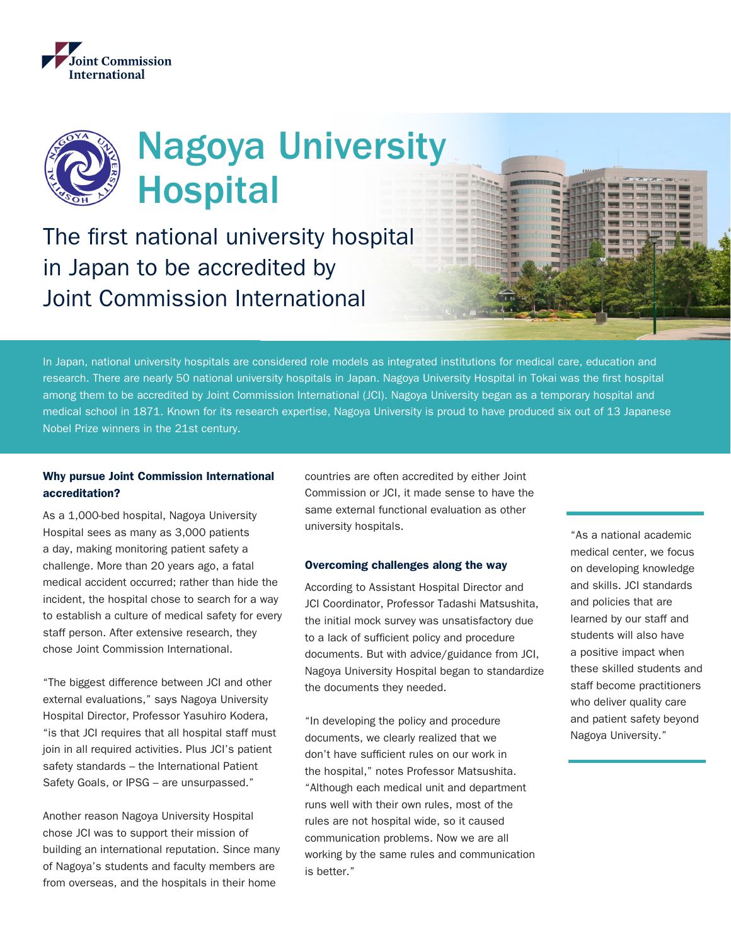

# Nagoya University Hospital

The first national university hospital in Japan to be accredited by Joint Commission International

In Japan, national university hospitals are considered role models as integrated institutions for medical care, education and research. There are nearly 50 national university hospitals in Japan. Nagoya University Hospital in Tokai was the first hospital among them to be accredited by Joint Commission International (JCI). Nagoya University began as a temporary hospital and medical school in 1871. Known for its research expertise, Nagoya University is proud to have produced six out of 13 Japanese Nobel Prize winners in the 21st century.

# Why pursue Joint Commission International accreditation?

As a 1,000-bed hospital, Nagoya University Hospital sees as many as 3,000 patients a day, making monitoring patient safety a challenge. More than 20 years ago, a fatal medical accident occurred; rather than hide the incident, the hospital chose to search for a way to establish a culture of medical safety for every staff person. After extensive research, they chose Joint Commission International.

"The biggest difference between JCI and other external evaluations," says Nagoya University Hospital Director, Professor Yasuhiro Kodera, "is that JCI requires that all hospital staff must join in all required activities. Plus JCI's patient safety standards – the International Patient Safety Goals, or IPSG – are unsurpassed."

Another reason Nagoya University Hospital chose JCI was to support their mission of building an international reputation. Since many of Nagoya's students and faculty members are from overseas, and the hospitals in their home

countries are often accredited by either Joint Commission or JCI, it made sense to have the same external functional evaluation as other university hospitals.

#### Overcoming challenges along the way

According to Assistant Hospital Director and JCI Coordinator, Professor Tadashi Matsushita, the initial mock survey was unsatisfactory due to a lack of sufficient policy and procedure documents. But with advice/guidance from JCI, Nagoya University Hospital began to standardize the documents they needed.

"In developing the policy and procedure documents, we clearly realized that we don't have sufficient rules on our work in the hospital," notes Professor Matsushita. "Although each medical unit and department runs well with their own rules, most of the rules are not hospital wide, so it caused communication problems. Now we are all working by the same rules and communication is better."

"As a national academic medical center, we focus on developing knowledge and skills. JCI standards and policies that are learned by our staff and students will also have a positive impact when these skilled students and staff become practitioners who deliver quality care and patient safety beyond Nagoya University."